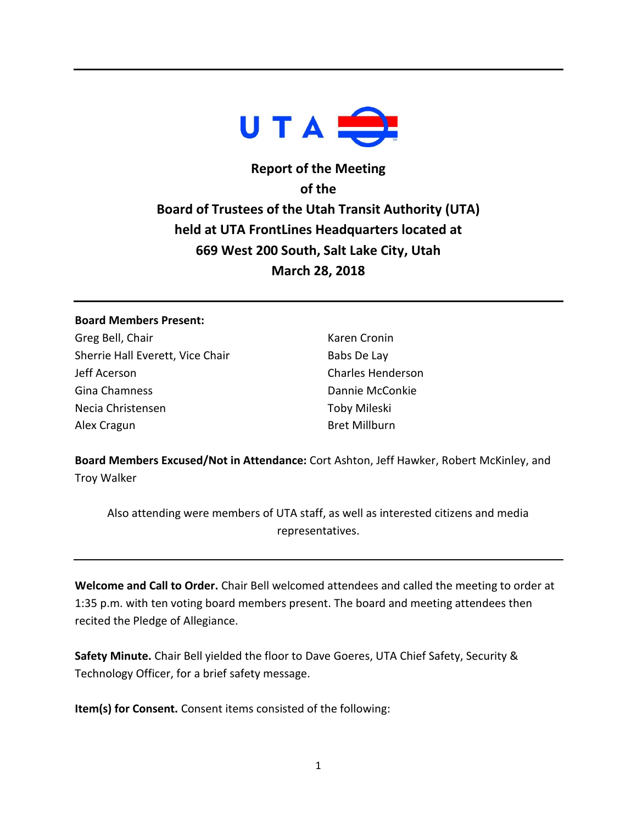

# **Report of the Meeting of the Board of Trustees of the Utah Transit Authority (UTA) held at UTA FrontLines Headquarters located at 669 West 200 South, Salt Lake City, Utah March 28, 2018**

## **Board Members Present:**

Greg Bell, Chair Sherrie Hall Everett, Vice Chair Jeff Acerson Gina Chamness Necia Christensen Alex Cragun

Karen Cronin Babs De Lay Charles Henderson Dannie McConkie Toby Mileski Bret Millburn

**Board Members Excused/Not in Attendance:** Cort Ashton, Jeff Hawker, Robert McKinley, and Troy Walker

Also attending were members of UTA staff, as well as interested citizens and media representatives.

**Welcome and Call to Order.** Chair Bell welcomed attendees and called the meeting to order at 1:35 p.m. with ten voting board members present. The board and meeting attendees then recited the Pledge of Allegiance.

**Safety Minute.** Chair Bell yielded the floor to Dave Goeres, UTA Chief Safety, Security & Technology Officer, for a brief safety message.

**Item(s) for Consent.** Consent items consisted of the following: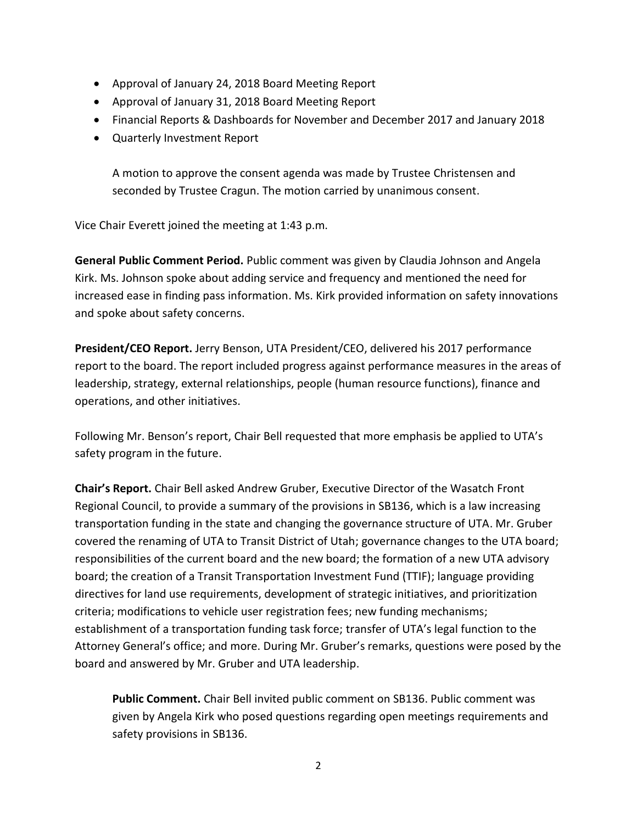- Approval of January 24, 2018 Board Meeting Report
- Approval of January 31, 2018 Board Meeting Report
- Financial Reports & Dashboards for November and December 2017 and January 2018
- Quarterly Investment Report

A motion to approve the consent agenda was made by Trustee Christensen and seconded by Trustee Cragun. The motion carried by unanimous consent.

Vice Chair Everett joined the meeting at 1:43 p.m.

**General Public Comment Period.** Public comment was given by Claudia Johnson and Angela Kirk. Ms. Johnson spoke about adding service and frequency and mentioned the need for increased ease in finding pass information. Ms. Kirk provided information on safety innovations and spoke about safety concerns.

**President/CEO Report.** Jerry Benson, UTA President/CEO, delivered his 2017 performance report to the board. The report included progress against performance measures in the areas of leadership, strategy, external relationships, people (human resource functions), finance and operations, and other initiatives.

Following Mr. Benson's report, Chair Bell requested that more emphasis be applied to UTA's safety program in the future.

**Chair's Report.** Chair Bell asked Andrew Gruber, Executive Director of the Wasatch Front Regional Council, to provide a summary of the provisions in SB136, which is a law increasing transportation funding in the state and changing the governance structure of UTA. Mr. Gruber covered the renaming of UTA to Transit District of Utah; governance changes to the UTA board; responsibilities of the current board and the new board; the formation of a new UTA advisory board; the creation of a Transit Transportation Investment Fund (TTIF); language providing directives for land use requirements, development of strategic initiatives, and prioritization criteria; modifications to vehicle user registration fees; new funding mechanisms; establishment of a transportation funding task force; transfer of UTA's legal function to the Attorney General's office; and more. During Mr. Gruber's remarks, questions were posed by the board and answered by Mr. Gruber and UTA leadership.

**Public Comment.** Chair Bell invited public comment on SB136. Public comment was given by Angela Kirk who posed questions regarding open meetings requirements and safety provisions in SB136.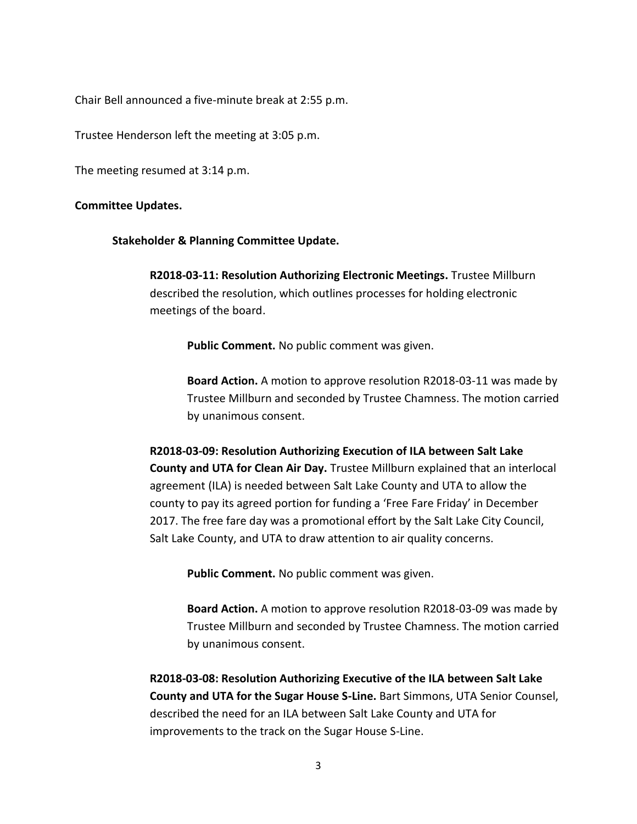Chair Bell announced a five-minute break at 2:55 p.m.

Trustee Henderson left the meeting at 3:05 p.m.

The meeting resumed at 3:14 p.m.

#### **Committee Updates.**

**Stakeholder & Planning Committee Update.**

**R2018-03-11: Resolution Authorizing Electronic Meetings.** Trustee Millburn described the resolution, which outlines processes for holding electronic meetings of the board.

**Public Comment.** No public comment was given.

**Board Action.** A motion to approve resolution R2018-03-11 was made by Trustee Millburn and seconded by Trustee Chamness. The motion carried by unanimous consent.

**R2018-03-09: Resolution Authorizing Execution of ILA between Salt Lake County and UTA for Clean Air Day.** Trustee Millburn explained that an interlocal agreement (ILA) is needed between Salt Lake County and UTA to allow the county to pay its agreed portion for funding a 'Free Fare Friday' in December 2017. The free fare day was a promotional effort by the Salt Lake City Council, Salt Lake County, and UTA to draw attention to air quality concerns.

**Public Comment.** No public comment was given.

**Board Action.** A motion to approve resolution R2018-03-09 was made by Trustee Millburn and seconded by Trustee Chamness. The motion carried by unanimous consent.

**R2018-03-08: Resolution Authorizing Executive of the ILA between Salt Lake County and UTA for the Sugar House S-Line.** Bart Simmons, UTA Senior Counsel, described the need for an ILA between Salt Lake County and UTA for improvements to the track on the Sugar House S-Line.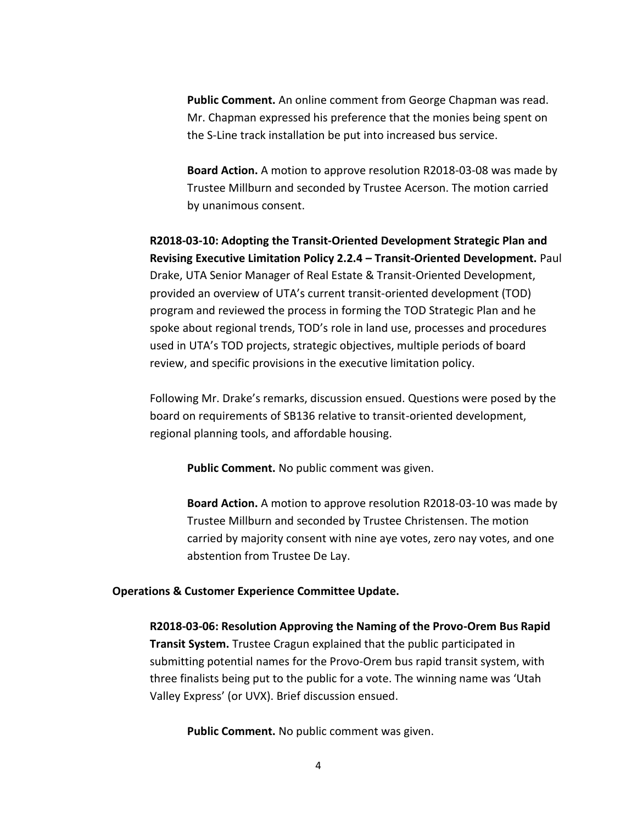**Public Comment.** An online comment from George Chapman was read. Mr. Chapman expressed his preference that the monies being spent on the S-Line track installation be put into increased bus service.

**Board Action.** A motion to approve resolution R2018-03-08 was made by Trustee Millburn and seconded by Trustee Acerson. The motion carried by unanimous consent.

**R2018-03-10: Adopting the Transit-Oriented Development Strategic Plan and Revising Executive Limitation Policy 2.2.4 – Transit-Oriented Development.** Paul Drake, UTA Senior Manager of Real Estate & Transit-Oriented Development, provided an overview of UTA's current transit-oriented development (TOD) program and reviewed the process in forming the TOD Strategic Plan and he spoke about regional trends, TOD's role in land use, processes and procedures used in UTA's TOD projects, strategic objectives, multiple periods of board review, and specific provisions in the executive limitation policy.

Following Mr. Drake's remarks, discussion ensued. Questions were posed by the board on requirements of SB136 relative to transit-oriented development, regional planning tools, and affordable housing.

**Public Comment.** No public comment was given.

**Board Action.** A motion to approve resolution R2018-03-10 was made by Trustee Millburn and seconded by Trustee Christensen. The motion carried by majority consent with nine aye votes, zero nay votes, and one abstention from Trustee De Lay.

### **Operations & Customer Experience Committee Update.**

**R2018-03-06: Resolution Approving the Naming of the Provo-Orem Bus Rapid Transit System.** Trustee Cragun explained that the public participated in submitting potential names for the Provo-Orem bus rapid transit system, with three finalists being put to the public for a vote. The winning name was 'Utah Valley Express' (or UVX). Brief discussion ensued.

**Public Comment.** No public comment was given.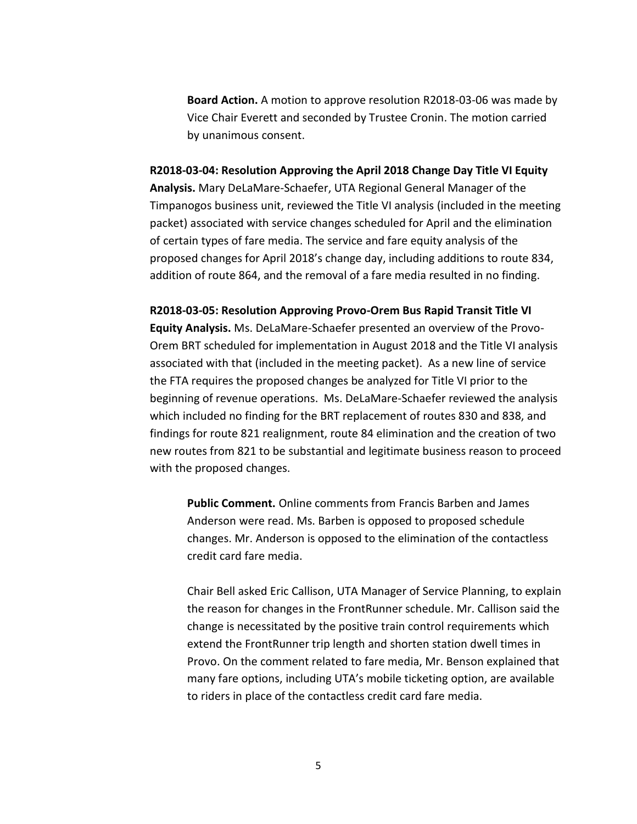**Board Action.** A motion to approve resolution R2018-03-06 was made by Vice Chair Everett and seconded by Trustee Cronin. The motion carried by unanimous consent.

**R2018-03-04: Resolution Approving the April 2018 Change Day Title VI Equity Analysis.** Mary DeLaMare-Schaefer, UTA Regional General Manager of the Timpanogos business unit, reviewed the Title VI analysis (included in the meeting packet) associated with service changes scheduled for April and the elimination of certain types of fare media. The service and fare equity analysis of the proposed changes for April 2018's change day, including additions to route 834, addition of route 864, and the removal of a fare media resulted in no finding.

**R2018-03-05: Resolution Approving Provo-Orem Bus Rapid Transit Title VI Equity Analysis.** Ms. DeLaMare-Schaefer presented an overview of the Provo-Orem BRT scheduled for implementation in August 2018 and the Title VI analysis associated with that (included in the meeting packet). As a new line of service the FTA requires the proposed changes be analyzed for Title VI prior to the beginning of revenue operations. Ms. DeLaMare-Schaefer reviewed the analysis which included no finding for the BRT replacement of routes 830 and 838, and findings for route 821 realignment, route 84 elimination and the creation of two new routes from 821 to be substantial and legitimate business reason to proceed with the proposed changes.

**Public Comment.** Online comments from Francis Barben and James Anderson were read. Ms. Barben is opposed to proposed schedule changes. Mr. Anderson is opposed to the elimination of the contactless credit card fare media.

Chair Bell asked Eric Callison, UTA Manager of Service Planning, to explain the reason for changes in the FrontRunner schedule. Mr. Callison said the change is necessitated by the positive train control requirements which extend the FrontRunner trip length and shorten station dwell times in Provo. On the comment related to fare media, Mr. Benson explained that many fare options, including UTA's mobile ticketing option, are available to riders in place of the contactless credit card fare media.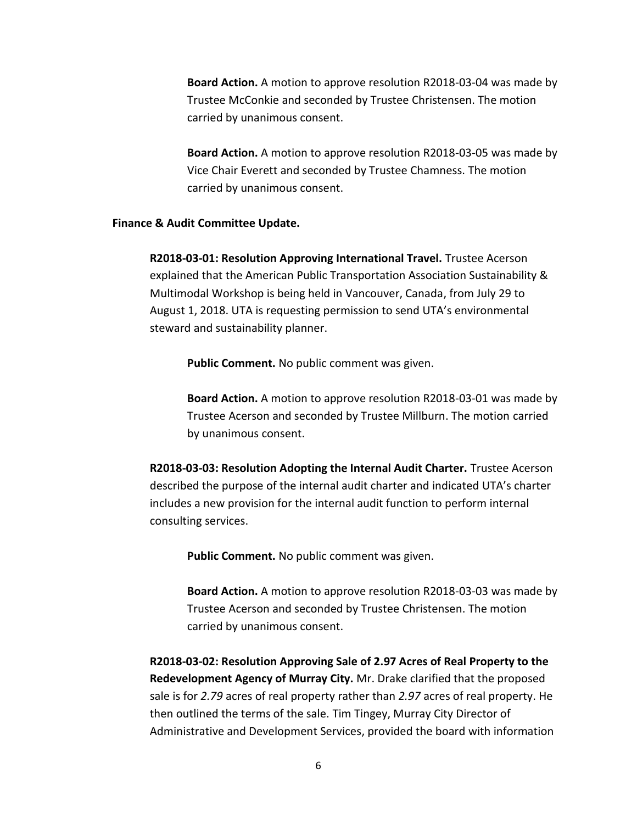**Board Action.** A motion to approve resolution R2018-03-04 was made by Trustee McConkie and seconded by Trustee Christensen. The motion carried by unanimous consent.

**Board Action.** A motion to approve resolution R2018-03-05 was made by Vice Chair Everett and seconded by Trustee Chamness. The motion carried by unanimous consent.

#### **Finance & Audit Committee Update.**

**R2018-03-01: Resolution Approving International Travel.** Trustee Acerson explained that the American Public Transportation Association Sustainability & Multimodal Workshop is being held in Vancouver, Canada, from July 29 to August 1, 2018. UTA is requesting permission to send UTA's environmental steward and sustainability planner.

**Public Comment.** No public comment was given.

**Board Action.** A motion to approve resolution R2018-03-01 was made by Trustee Acerson and seconded by Trustee Millburn. The motion carried by unanimous consent.

**R2018-03-03: Resolution Adopting the Internal Audit Charter.** Trustee Acerson described the purpose of the internal audit charter and indicated UTA's charter includes a new provision for the internal audit function to perform internal consulting services.

**Public Comment.** No public comment was given.

**Board Action.** A motion to approve resolution R2018-03-03 was made by Trustee Acerson and seconded by Trustee Christensen. The motion carried by unanimous consent.

**R2018-03-02: Resolution Approving Sale of 2.97 Acres of Real Property to the Redevelopment Agency of Murray City.** Mr. Drake clarified that the proposed sale is for *2.79* acres of real property rather than *2.97* acres of real property. He then outlined the terms of the sale. Tim Tingey, Murray City Director of Administrative and Development Services, provided the board with information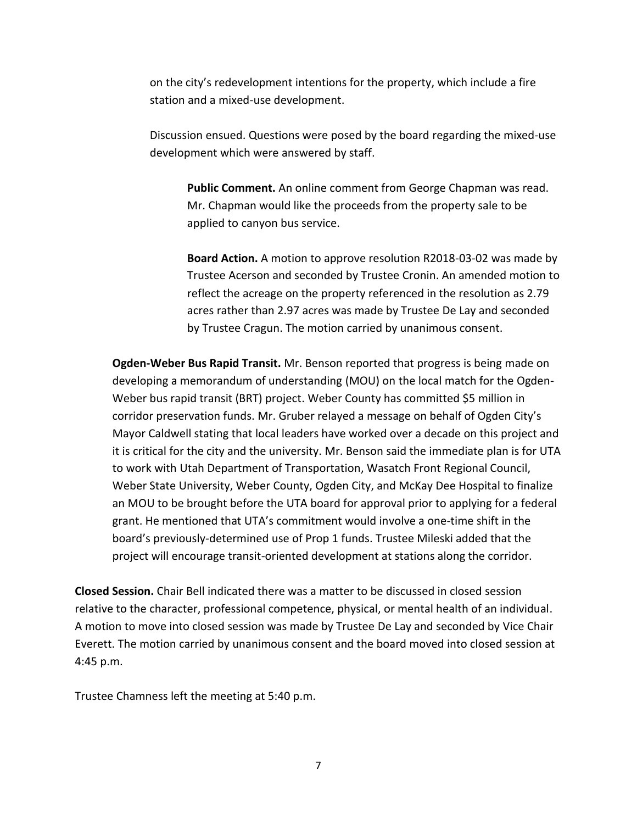on the city's redevelopment intentions for the property, which include a fire station and a mixed-use development.

Discussion ensued. Questions were posed by the board regarding the mixed-use development which were answered by staff.

**Public Comment.** An online comment from George Chapman was read. Mr. Chapman would like the proceeds from the property sale to be applied to canyon bus service.

**Board Action.** A motion to approve resolution R2018-03-02 was made by Trustee Acerson and seconded by Trustee Cronin. An amended motion to reflect the acreage on the property referenced in the resolution as 2.79 acres rather than 2.97 acres was made by Trustee De Lay and seconded by Trustee Cragun. The motion carried by unanimous consent.

**Ogden-Weber Bus Rapid Transit.** Mr. Benson reported that progress is being made on developing a memorandum of understanding (MOU) on the local match for the Ogden-Weber bus rapid transit (BRT) project. Weber County has committed \$5 million in corridor preservation funds. Mr. Gruber relayed a message on behalf of Ogden City's Mayor Caldwell stating that local leaders have worked over a decade on this project and it is critical for the city and the university. Mr. Benson said the immediate plan is for UTA to work with Utah Department of Transportation, Wasatch Front Regional Council, Weber State University, Weber County, Ogden City, and McKay Dee Hospital to finalize an MOU to be brought before the UTA board for approval prior to applying for a federal grant. He mentioned that UTA's commitment would involve a one-time shift in the board's previously-determined use of Prop 1 funds. Trustee Mileski added that the project will encourage transit-oriented development at stations along the corridor.

**Closed Session.** Chair Bell indicated there was a matter to be discussed in closed session relative to the character, professional competence, physical, or mental health of an individual. A motion to move into closed session was made by Trustee De Lay and seconded by Vice Chair Everett. The motion carried by unanimous consent and the board moved into closed session at 4:45 p.m.

Trustee Chamness left the meeting at 5:40 p.m.